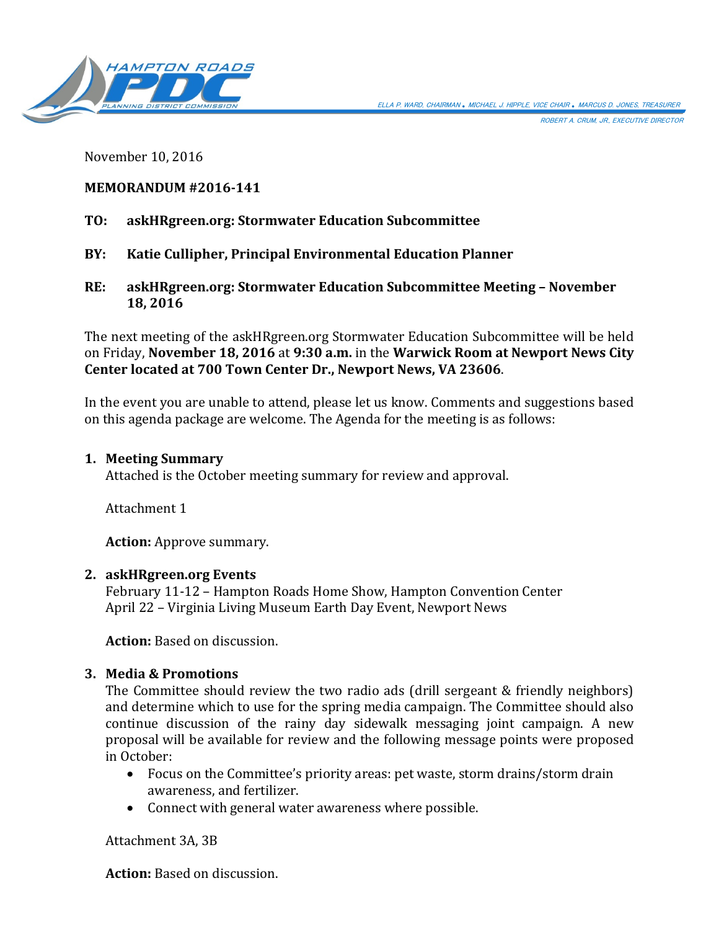ROBERT A. CRUM, JR., EXECUTIVE DIRECTOR



November 10, 2016

# **MEMORANDUM #2016-141**

# **TO: askHRgreen.org: Stormwater Education Subcommittee**

- **BY: Katie Cullipher, Principal Environmental Education Planner**
- **RE: askHRgreen.org: Stormwater Education Subcommittee Meeting – November 18, 2016**

The next meeting of the askHRgreen.org Stormwater Education Subcommittee will be held on Friday, **November 18, 2016** at **9:30 a.m.** in the **Warwick Room at Newport News City Center located at 700 Town Center Dr., Newport News, VA 23606**.

In the event you are unable to attend, please let us know. Comments and suggestions based on this agenda package are welcome. The Agenda for the meeting is as follows:

### **1. Meeting Summary**

Attached is the October meeting summary for review and approval.

Attachment 1

**Action:** Approve summary.

## **2. askHRgreen.org Events**

February 11-12 – Hampton Roads Home Show, Hampton Convention Center April 22 – Virginia Living Museum Earth Day Event, Newport News

**Action:** Based on discussion.

## **3. Media & Promotions**

The Committee should review the two radio ads (drill sergeant & friendly neighbors) and determine which to use for the spring media campaign. The Committee should also continue discussion of the rainy day sidewalk messaging joint campaign. A new proposal will be available for review and the following message points were proposed in October:

- Focus on the Committee's priority areas: pet waste, storm drains/storm drain awareness, and fertilizer.
- Connect with general water awareness where possible.

Attachment 3A, 3B

**Action:** Based on discussion.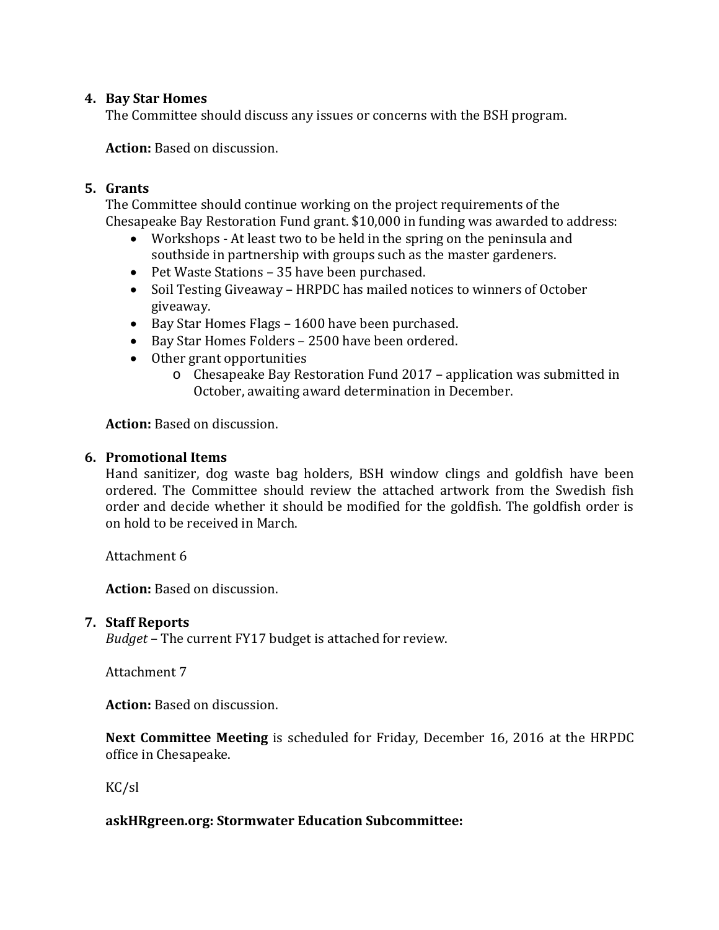# **4. Bay Star Homes**

The Committee should discuss any issues or concerns with the BSH program.

**Action:** Based on discussion.

# **5. Grants**

The Committee should continue working on the project requirements of the Chesapeake Bay Restoration Fund grant. \$10,000 in funding was awarded to address:

- Workshops At least two to be held in the spring on the peninsula and southside in partnership with groups such as the master gardeners.
- Pet Waste Stations 35 have been purchased.
- Soil Testing Giveaway HRPDC has mailed notices to winners of October giveaway.
- Bay Star Homes Flags 1600 have been purchased.
- Bay Star Homes Folders 2500 have been ordered.
- Other grant opportunities
	- o Chesapeake Bay Restoration Fund 2017 application was submitted in October, awaiting award determination in December.

**Action:** Based on discussion.

## **6. Promotional Items**

Hand sanitizer, dog waste bag holders, BSH window clings and goldfish have been ordered. The Committee should review the attached artwork from the Swedish fish order and decide whether it should be modified for the goldfish. The goldfish order is on hold to be received in March.

Attachment 6

**Action:** Based on discussion.

## **7. Staff Reports**

*Budget* – The current FY17 budget is attached for review.

Attachment 7

**Action:** Based on discussion.

**Next Committee Meeting** is scheduled for Friday, December 16, 2016 at the HRPDC office in Chesapeake.

KC/sl

## **askHRgreen.org: Stormwater Education Subcommittee:**